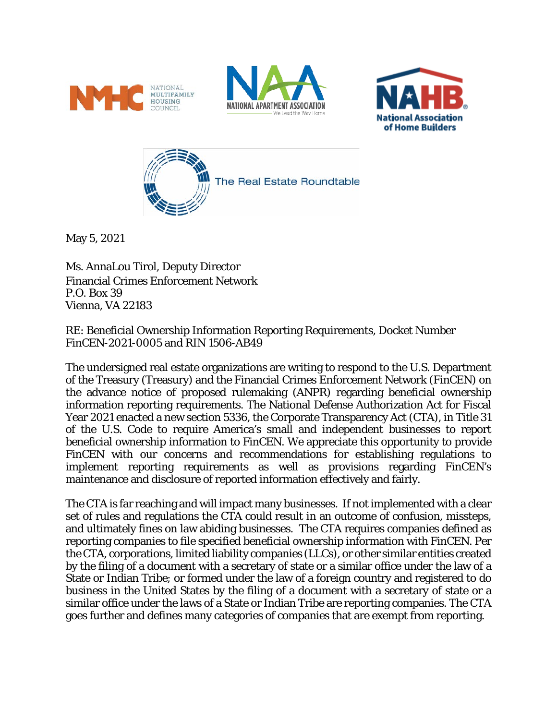







May 5, 2021

Ms. AnnaLou Tirol, Deputy Director Financial Crimes Enforcement Network P.O. Box 39 Vienna, VA 22183

RE: Beneficial Ownership Information Reporting Requirements, Docket Number FinCEN-2021-0005 and RIN 1506-AB49

The undersigned real estate organizations are writing to respond to the U.S. Department of the Treasury (Treasury) and the Financial Crimes Enforcement Network (FinCEN) on the advance notice of proposed rulemaking (ANPR) regarding beneficial ownership information reporting requirements. The National Defense Authorization Act for Fiscal Year 2021 enacted a new section 5336, the Corporate Transparency Act (CTA), in Title 31 of the U.S. Code to require America's small and independent businesses to report beneficial ownership information to FinCEN. We appreciate this opportunity to provide FinCEN with our concerns and recommendations for establishing regulations to implement reporting requirements as well as provisions regarding FinCEN's maintenance and disclosure of reported information effectively and fairly.

The CTA is far reaching and will impact many businesses. If not implemented with a clear set of rules and regulations the CTA could result in an outcome of confusion, missteps, and ultimately fines on law abiding businesses. The CTA requires companies defined as reporting companies to file specified beneficial ownership information with FinCEN. Per the CTA, corporations, limited liability companies (LLCs), or other similar entities created by the filing of a document with a secretary of state or a similar office under the law of a State or Indian Tribe; or formed under the law of a foreign country and registered to do business in the United States by the filing of a document with a secretary of state or a similar office under the laws of a State or Indian Tribe are reporting companies. The CTA goes further and defines many categories of companies that are exempt from reporting.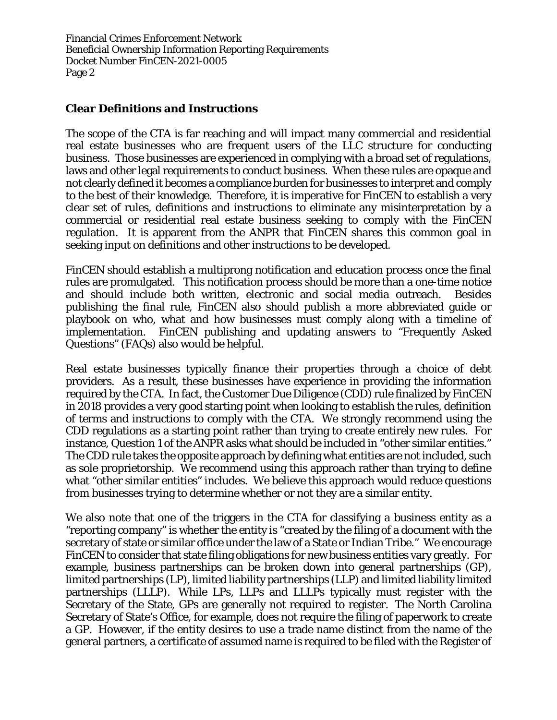### **Clear Definitions and Instructions**

The scope of the CTA is far reaching and will impact many commercial and residential real estate businesses who are frequent users of the LLC structure for conducting business. Those businesses are experienced in complying with a broad set of regulations, laws and other legal requirements to conduct business. When these rules are opaque and not clearly defined it becomes a compliance burden for businesses to interpret and comply to the best of their knowledge. Therefore, it is imperative for FinCEN to establish a very clear set of rules, definitions and instructions to eliminate any misinterpretation by a commercial or residential real estate business seeking to comply with the FinCEN regulation. It is apparent from the ANPR that FinCEN shares this common goal in seeking input on definitions and other instructions to be developed.

FinCEN should establish a multiprong notification and education process once the final rules are promulgated. This notification process should be more than a one-time notice and should include both written, electronic and social media outreach. Besides publishing the final rule, FinCEN also should publish a more abbreviated guide or playbook on who, what and how businesses must comply along with a timeline of implementation. FinCEN publishing and updating answers to "Frequently Asked Questions" (FAQs) also would be helpful.

Real estate businesses typically finance their properties through a choice of debt providers. As a result, these businesses have experience in providing the information required by the CTA. In fact, the Customer Due Diligence (CDD) rule finalized by FinCEN in 2018 provides a very good starting point when looking to establish the rules, definition of terms and instructions to comply with the CTA. We strongly recommend using the CDD regulations as a starting point rather than trying to create entirely new rules. For instance, Question 1 of the ANPR asks what should be included in "other similar entities." The CDD rule takes the opposite approach by defining what entities are not included, such as sole proprietorship. We recommend using this approach rather than trying to define what "other similar entities" includes. We believe this approach would reduce questions from businesses trying to determine whether or not they are a similar entity.

We also note that one of the triggers in the CTA for classifying a business entity as a "reporting company" is whether the entity is "created by the filing of a document with the secretary of state or similar office under the law of a State or Indian Tribe." We encourage FinCEN to consider that state filing obligations for new business entities vary greatly. For example, business partnerships can be broken down into general partnerships (GP), limited partnerships (LP), limited liability partnerships (LLP) and limited liability limited partnerships (LLLP). While LPs, LLPs and LLLPs typically must register with the Secretary of the State, GPs are generally not required to register. The North Carolina Secretary of State's Office, for example, does not require the filing of paperwork to create a GP. However, if the entity desires to use a trade name distinct from the name of the general partners, a certificate of assumed name is required to be filed with the Register of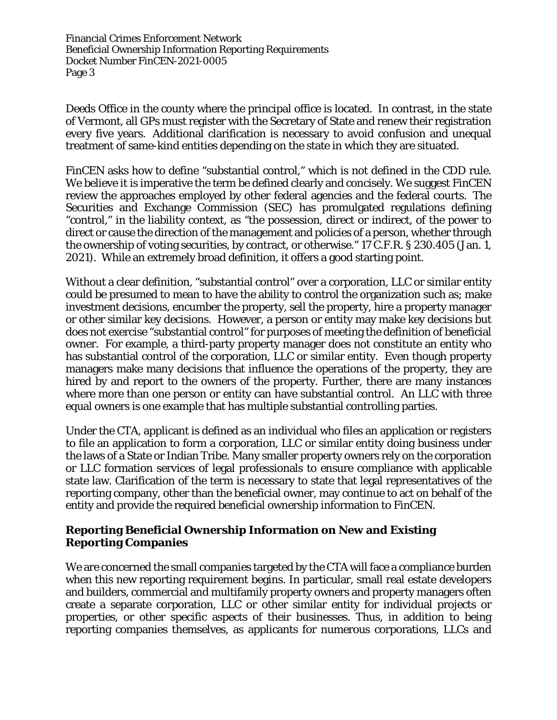Deeds Office in the county where the principal office is located. In contrast, in the state of Vermont, all GPs must register with the Secretary of State and renew their registration every five years. Additional clarification is necessary to avoid confusion and unequal treatment of same-kind entities depending on the state in which they are situated.

FinCEN asks how to define "substantial control," which is not defined in the CDD rule. We believe it is imperative the term be defined clearly and concisely. We suggest FinCEN review the approaches employed by other federal agencies and the federal courts. The Securities and Exchange Commission (SEC) has promulgated regulations defining "control," in the liability context, as "the possession, direct or indirect, of the power to direct or cause the direction of the management and policies of a person, whether through the ownership of voting securities, by contract, or otherwise." 17 C.F.R. § 230.405 (Jan. 1, 2021). While an extremely broad definition, it offers a good starting point.

Without a clear definition, "substantial control" over a corporation, LLC or similar entity could be presumed to mean to have the ability to control the organization such as; make investment decisions, encumber the property, sell the property, hire a property manager or other similar key decisions. However, a person or entity may make key decisions but does not exercise "substantial control" for purposes of meeting the definition of beneficial owner. For example, a third-party property manager does not constitute an entity who has substantial control of the corporation, LLC or similar entity. Even though property managers make many decisions that influence the operations of the property, they are hired by and report to the owners of the property. Further, there are many instances where more than one person or entity can have substantial control. An LLC with three equal owners is one example that has multiple substantial controlling parties.

Under the CTA, applicant is defined as an individual who files an application or registers to file an application to form a corporation, LLC or similar entity doing business under the laws of a State or Indian Tribe. Many smaller property owners rely on the corporation or LLC formation services of legal professionals to ensure compliance with applicable state law. Clarification of the term is necessary to state that legal representatives of the reporting company, other than the beneficial owner, may continue to act on behalf of the entity and provide the required beneficial ownership information to FinCEN.

### **Reporting Beneficial Ownership Information on New and Existing Reporting Companies**

We are concerned the small companies targeted by the CTA will face a compliance burden when this new reporting requirement begins. In particular, small real estate developers and builders, commercial and multifamily property owners and property managers often create a separate corporation, LLC or other similar entity for individual projects or properties, or other specific aspects of their businesses. Thus, in addition to being reporting companies themselves, as applicants for numerous corporations, LLCs and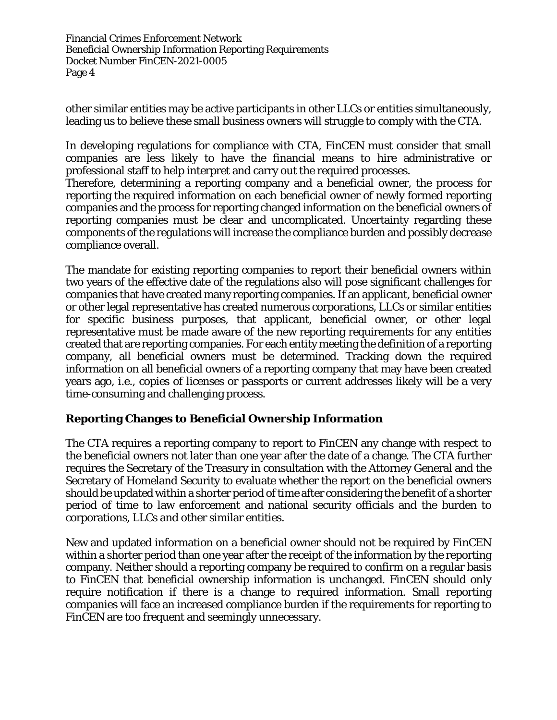other similar entities may be active participants in other LLCs or entities simultaneously, leading us to believe these small business owners will struggle to comply with the CTA.

In developing regulations for compliance with CTA, FinCEN must consider that small companies are less likely to have the financial means to hire administrative or professional staff to help interpret and carry out the required processes.

Therefore, determining a reporting company and a beneficial owner, the process for reporting the required information on each beneficial owner of newly formed reporting companies and the process for reporting changed information on the beneficial owners of reporting companies must be clear and uncomplicated. Uncertainty regarding these components of the regulations will increase the compliance burden and possibly decrease compliance overall.

The mandate for existing reporting companies to report their beneficial owners within two years of the effective date of the regulations also will pose significant challenges for companies that have created many reporting companies. If an applicant, beneficial owner or other legal representative has created numerous corporations, LLCs or similar entities for specific business purposes, that applicant, beneficial owner, or other legal representative must be made aware of the new reporting requirements for any entities created that are reporting companies. For each entity meeting the definition of a reporting company, all beneficial owners must be determined. Tracking down the required information on all beneficial owners of a reporting company that may have been created years ago, i.e., copies of licenses or passports or current addresses likely will be a very time-consuming and challenging process.

## **Reporting Changes to Beneficial Ownership Information**

The CTA requires a reporting company to report to FinCEN any change with respect to the beneficial owners not later than one year after the date of a change. The CTA further requires the Secretary of the Treasury in consultation with the Attorney General and the Secretary of Homeland Security to evaluate whether the report on the beneficial owners should be updated within a shorter period of time after considering the benefit of a shorter period of time to law enforcement and national security officials and the burden to corporations, LLCs and other similar entities.

New and updated information on a beneficial owner should not be required by FinCEN within a shorter period than one year after the receipt of the information by the reporting company. Neither should a reporting company be required to confirm on a regular basis to FinCEN that beneficial ownership information is unchanged. FinCEN should only require notification if there is a change to required information. Small reporting companies will face an increased compliance burden if the requirements for reporting to FinCEN are too frequent and seemingly unnecessary.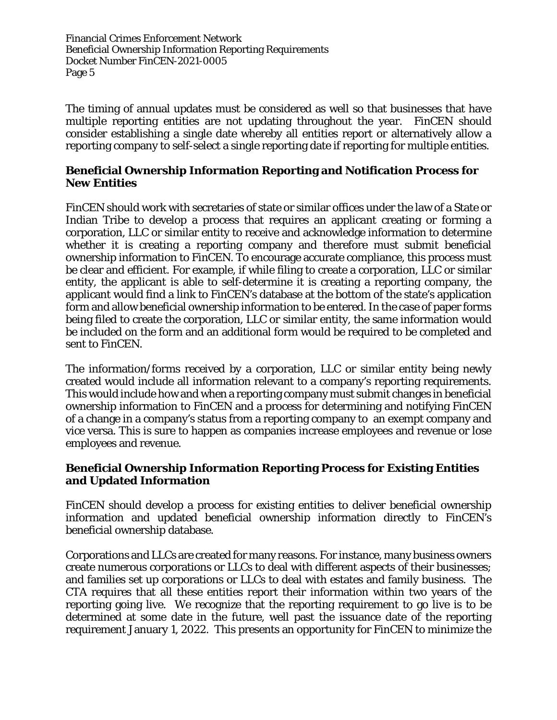The timing of annual updates must be considered as well so that businesses that have multiple reporting entities are not updating throughout the year. FinCEN should consider establishing a single date whereby all entities report or alternatively allow a reporting company to self-select a single reporting date if reporting for multiple entities.

#### **Beneficial Ownership Information Reporting and Notification Process for New Entities**

FinCEN should work with secretaries of state or similar offices under the law of a State or Indian Tribe to develop a process that requires an applicant creating or forming a corporation, LLC or similar entity to receive and acknowledge information to determine whether it is creating a reporting company and therefore must submit beneficial ownership information to FinCEN. To encourage accurate compliance, this process must be clear and efficient. For example, if while filing to create a corporation, LLC or similar entity, the applicant is able to self-determine it is creating a reporting company, the applicant would find a link to FinCEN's database at the bottom of the state's application form and allow beneficial ownership information to be entered. In the case of paper forms being filed to create the corporation, LLC or similar entity, the same information would be included on the form and an additional form would be required to be completed and sent to FinCEN.

The information/forms received by a corporation, LLC or similar entity being newly created would include all information relevant to a company's reporting requirements. This would include how and when a reporting company must submit changes in beneficial ownership information to FinCEN and a process for determining and notifying FinCEN of a change in a company's status from a reporting company to an exempt company and vice versa. This is sure to happen as companies increase employees and revenue or lose employees and revenue.

### **Beneficial Ownership Information Reporting Process for Existing Entities and Updated Information**

FinCEN should develop a process for existing entities to deliver beneficial ownership information and updated beneficial ownership information directly to FinCEN's beneficial ownership database.

Corporations and LLCs are created for many reasons. For instance, many business owners create numerous corporations or LLCs to deal with different aspects of their businesses; and families set up corporations or LLCs to deal with estates and family business. The CTA requires that all these entities report their information within two years of the reporting going live. We recognize that the reporting requirement to go live is to be determined at some date in the future, well past the issuance date of the reporting requirement January 1, 2022. This presents an opportunity for FinCEN to minimize the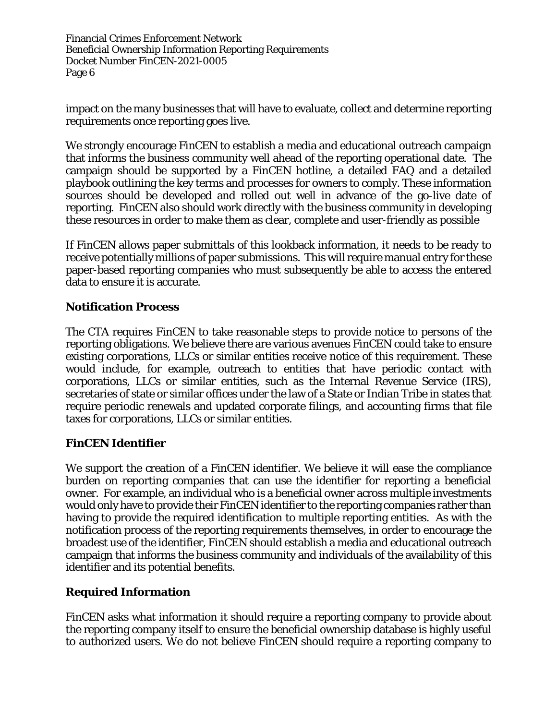impact on the many businesses that will have to evaluate, collect and determine reporting requirements once reporting goes live.

We strongly encourage FinCEN to establish a media and educational outreach campaign that informs the business community well ahead of the reporting operational date. The campaign should be supported by a FinCEN hotline, a detailed FAQ and a detailed playbook outlining the key terms and processes for owners to comply. These information sources should be developed and rolled out well in advance of the go-live date of reporting. FinCEN also should work directly with the business community in developing these resources in order to make them as clear, complete and user-friendly as possible

If FinCEN allows paper submittals of this lookback information, it needs to be ready to receive potentially millions of paper submissions. This will require manual entry for these paper-based reporting companies who must subsequently be able to access the entered data to ensure it is accurate.

### **Notification Process**

The CTA requires FinCEN to take reasonable steps to provide notice to persons of the reporting obligations. We believe there are various avenues FinCEN could take to ensure existing corporations, LLCs or similar entities receive notice of this requirement. These would include, for example, outreach to entities that have periodic contact with corporations, LLCs or similar entities, such as the Internal Revenue Service (IRS), secretaries of state or similar offices under the law of a State or Indian Tribe in states that require periodic renewals and updated corporate filings, and accounting firms that file taxes for corporations, LLCs or similar entities.

#### **FinCEN Identifier**

We support the creation of a FinCEN identifier. We believe it will ease the compliance burden on reporting companies that can use the identifier for reporting a beneficial owner. For example, an individual who is a beneficial owner across multiple investments would only have to provide their FinCEN identifier to the reporting companies rather than having to provide the required identification to multiple reporting entities. As with the notification process of the reporting requirements themselves, in order to encourage the broadest use of the identifier, FinCEN should establish a media and educational outreach campaign that informs the business community and individuals of the availability of this identifier and its potential benefits.

## **Required Information**

FinCEN asks what information it should require a reporting company to provide about the reporting company itself to ensure the beneficial ownership database is highly useful to authorized users. We do not believe FinCEN should require a reporting company to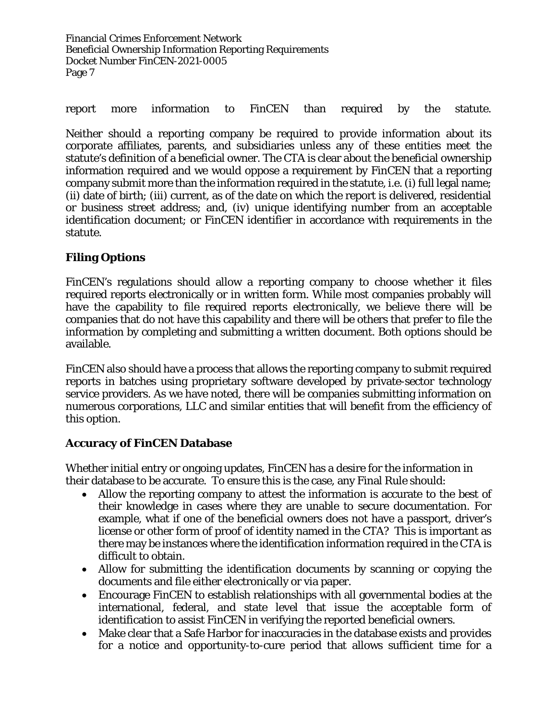report more information to FinCEN than required by the statute.

Neither should a reporting company be required to provide information about its corporate affiliates, parents, and subsidiaries unless any of these entities meet the statute's definition of a beneficial owner. The CTA is clear about the beneficial ownership information required and we would oppose a requirement by FinCEN that a reporting company submit more than the information required in the statute, i.e. (i) full legal name; (ii) date of birth; (iii) current, as of the date on which the report is delivered, residential or business street address; and, (iv) unique identifying number from an acceptable identification document; or FinCEN identifier in accordance with requirements in the statute.

# **Filing Options**

FinCEN's regulations should allow a reporting company to choose whether it files required reports electronically or in written form. While most companies probably will have the capability to file required reports electronically, we believe there will be companies that do not have this capability and there will be others that prefer to file the information by completing and submitting a written document. Both options should be available.

FinCEN also should have a process that allows the reporting company to submit required reports in batches using proprietary software developed by private-sector technology service providers. As we have noted, there will be companies submitting information on numerous corporations, LLC and similar entities that will benefit from the efficiency of this option.

## **Accuracy of FinCEN Database**

Whether initial entry or ongoing updates, FinCEN has a desire for the information in their database to be accurate. To ensure this is the case, any Final Rule should:

- Allow the reporting company to attest the information is accurate to the best of their knowledge in cases where they are unable to secure documentation. For example, what if one of the beneficial owners does not have a passport, driver's license or other form of proof of identity named in the CTA? This is important as there may be instances where the identification information required in the CTA is difficult to obtain.
- Allow for submitting the identification documents by scanning or copying the documents and file either electronically or via paper.
- Encourage FinCEN to establish relationships with all governmental bodies at the international, federal, and state level that issue the acceptable form of identification to assist FinCEN in verifying the reported beneficial owners.
- Make clear that a Safe Harbor for inaccuracies in the database exists and provides for a notice and opportunity-to-cure period that allows sufficient time for a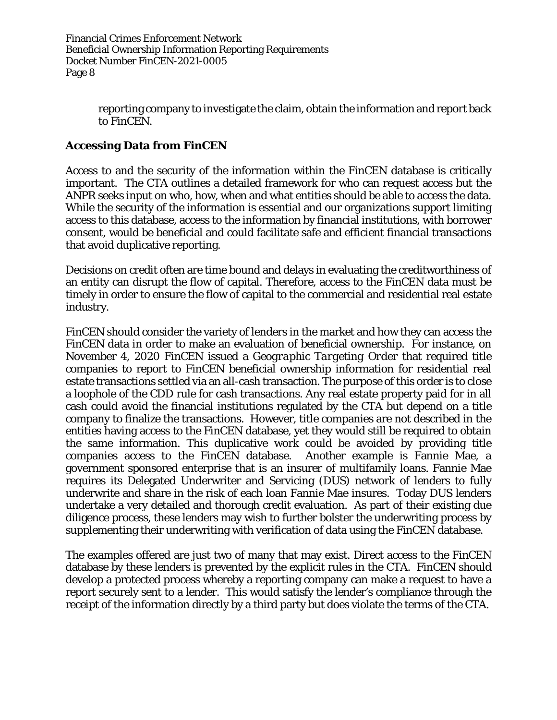> reporting company to investigate the claim, obtain the information and report back to FinCEN.

# **Accessing Data from FinCEN**

Access to and the security of the information within the FinCEN database is critically important. The CTA outlines a detailed framework for who can request access but the ANPR seeks input on who, how, when and what entities should be able to access the data. While the security of the information is essential and our organizations support limiting access to this database, access to the information by financial institutions, with borrower consent, would be beneficial and could facilitate safe and efficient financial transactions that avoid duplicative reporting.

Decisions on credit often are time bound and delays in evaluating the creditworthiness of an entity can disrupt the flow of capital. Therefore, access to the FinCEN data must be timely in order to ensure the flow of capital to the commercial and residential real estate industry.

FinCEN should consider the variety of lenders in the market and how they can access the FinCEN data in order to make an evaluation of beneficial ownership. For instance, on November 4, 2020 FinCEN issued a *Geographic Targeting Order* that required title companies to report to FinCEN beneficial ownership information for residential real estate transactions settled via an all-cash transaction. The purpose of this order is to close a loophole of the CDD rule for cash transactions. Any real estate property paid for in all cash could avoid the financial institutions regulated by the CTA but depend on a title company to finalize the transactions. However, title companies are not described in the entities having access to the FinCEN database, yet they would still be required to obtain the same information. This duplicative work could be avoided by providing title companies access to the FinCEN database. Another example is Fannie Mae, a government sponsored enterprise that is an insurer of multifamily loans. Fannie Mae requires its Delegated Underwriter and Servicing (DUS) network of lenders to fully underwrite and share in the risk of each loan Fannie Mae insures. Today DUS lenders undertake a very detailed and thorough credit evaluation. As part of their existing due diligence process, these lenders may wish to further bolster the underwriting process by supplementing their underwriting with verification of data using the FinCEN database.

The examples offered are just two of many that may exist. Direct access to the FinCEN database by these lenders is prevented by the explicit rules in the CTA. FinCEN should develop a protected process whereby a reporting company can make a request to have a report securely sent to a lender. This would satisfy the lender's compliance through the receipt of the information directly by a third party but does violate the terms of the CTA.